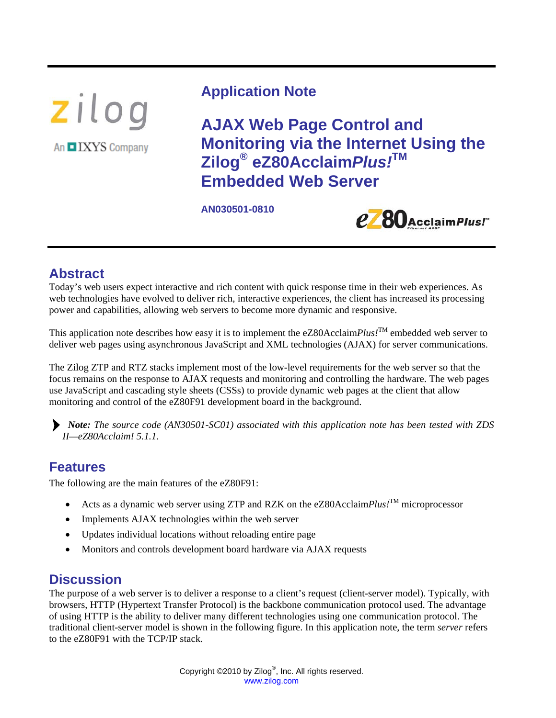zilog An IXYS Company

# **Application Note**

**AJAX Web Page Control and Monitoring via the Internet Using the Zilog® eZ80Acclaim***Plus!***TM Embedded Web Server** 

**AN030501-0810** 



# **Abstract**

Today's web users expect interactive and rich content with quick response time in their web experiences. As web technologies have evolved to deliver rich, interactive experiences, the client has increased its processing power and capabilities, allowing web servers to become more dynamic and responsive.

This application note describes how easy it is to implement the eZ80Acclaim*Plus!*TM embedded web server to deliver web pages using asynchronous JavaScript and XML technologies (AJAX) for server communications.

The Zilog ZTP and RTZ stacks implement most of the low-level requirements for the web server so that the focus remains on the response to AJAX requests and monitoring and controlling the hardware. The web pages use JavaScript and cascading style sheets (CSSs) to provide dynamic web pages at the client that allow monitoring and control of the eZ80F91 development board in the background.

*Note: The source code (AN30501-SC01) associated with this application note has been tested with ZDS II—eZ80Acclaim! 5.1.1.* 

# **Features**

The following are the main features of the eZ80F91:

- Acts as a dynamic web server using ZTP and RZK on the eZ80Acclaim*Plus!*<sup>TM</sup> microprocessor
- Implements AJAX technologies within the web server
- Updates individual locations without reloading entire page
- Monitors and controls development board hardware via AJAX requests

# **Discussion**

The purpose of a web server is to deliver a response to a client's request (client-server model). Typically, with browsers, HTTP (Hypertext Transfer Protocol) is the backbone communication protocol used. The advantage of using HTTP is the ability to deliver many different technologies using one communication protocol. The traditional client-server model is shown in the following figure. In this application note, the term *server* refers to the eZ80F91 with the TCP/IP stack.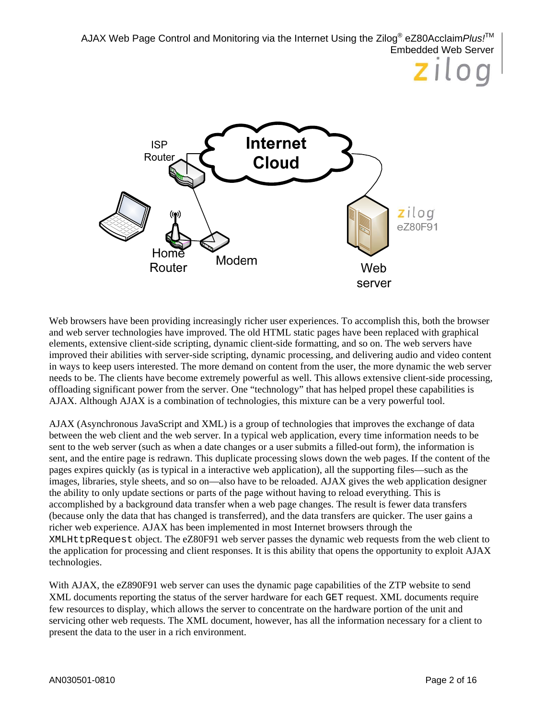

Web browsers have been providing increasingly richer user experiences. To accomplish this, both the browser and web server technologies have improved. The old HTML static pages have been replaced with graphical elements, extensive client-side scripting, dynamic client-side formatting, and so on. The web servers have improved their abilities with server-side scripting, dynamic processing, and delivering audio and video content in ways to keep users interested. The more demand on content from the user, the more dynamic the web server needs to be. The clients have become extremely powerful as well. This allows extensive client-side processing, offloading significant power from the server. One "technology" that has helped propel these capabilities is AJAX. Although AJAX is a combination of technologies, this mixture can be a very powerful tool.

AJAX (Asynchronous JavaScript and XML) is a group of technologies that improves the exchange of data between the web client and the web server. In a typical web application, every time information needs to be sent to the web server (such as when a date changes or a user submits a filled-out form), the information is sent, and the entire page is redrawn. This duplicate processing slows down the web pages. If the content of the pages expires quickly (as is typical in a interactive web application), all the supporting files—such as the images, libraries, style sheets, and so on—also have to be reloaded. AJAX gives the web application designer the ability to only update sections or parts of the page without having to reload everything. This is accomplished by a background data transfer when a web page changes. The result is fewer data transfers (because only the data that has changed is transferred), and the data transfers are quicker. The user gains a richer web experience. AJAX has been implemented in most Internet browsers through the XMLHttpRequest object. The eZ80F91 web server passes the dynamic web requests from the web client to the application for processing and client responses. It is this ability that opens the opportunity to exploit AJAX technologies.

With AJAX, the eZ890F91 web server can uses the dynamic page capabilities of the ZTP website to send XML documents reporting the status of the server hardware for each GET request. XML documents require few resources to display, which allows the server to concentrate on the hardware portion of the unit and servicing other web requests. The XML document, however, has all the information necessary for a client to present the data to the user in a rich environment.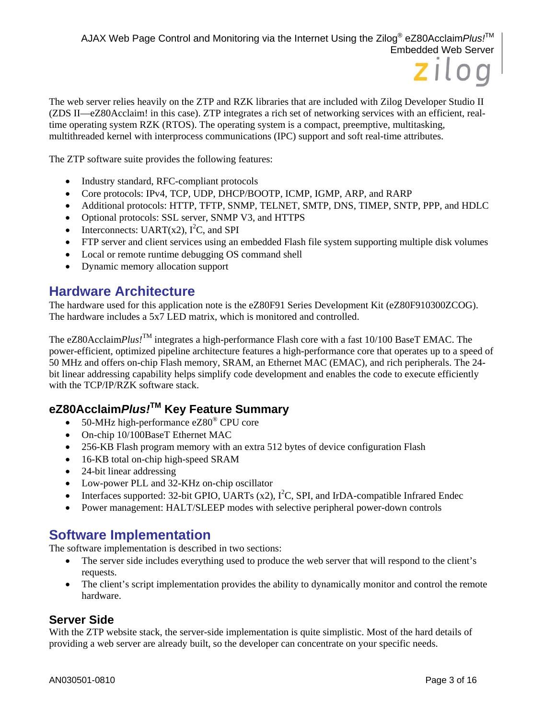

The web server relies heavily on the ZTP and RZK libraries that are included with Zilog Developer Studio II (ZDS II—eZ80Acclaim! in this case). ZTP integrates a rich set of networking services with an efficient, realtime operating system RZK (RTOS). The operating system is a compact, preemptive, multitasking, multithreaded kernel with interprocess communications (IPC) support and soft real-time attributes.

The ZTP software suite provides the following features:

- Industry standard, RFC-compliant protocols
- Core protocols: IPv4, TCP, UDP, DHCP/BOOTP, ICMP, IGMP, ARP, and RARP
- Additional protocols: HTTP, TFTP, SNMP, TELNET, SMTP, DNS, TIMEP, SNTP, PPP, and HDLC
- Optional protocols: SSL server, SNMP V3, and HTTPS
- Interconnects: UART(x2),  $I^2C$ , and SPI
- FTP server and client services using an embedded Flash file system supporting multiple disk volumes
- Local or remote runtime debugging OS command shell
- Dynamic memory allocation support

## **Hardware Architecture**

The hardware used for this application note is the eZ80F91 Series Development Kit (eZ80F910300ZCOG). The hardware includes a 5x7 LED matrix, which is monitored and controlled.

The eZ80Acclaim*Plus!*<sup>TM</sup> integrates a high-performance Flash core with a fast 10/100 BaseT EMAC. The power-efficient, optimized pipeline architecture features a high-performance core that operates up to a speed of 50 MHz and offers on-chip Flash memory, SRAM, an Ethernet MAC (EMAC), and rich peripherals. The 24 bit linear addressing capability helps simplify code development and enables the code to execute efficiently with the TCP/IP/RZK software stack.

## **eZ80Acclaim***Plus!***TM Key Feature Summary**

- 50-MHz high-performance eZ80<sup>®</sup> CPU core
- On-chip 10/100BaseT Ethernet MAC
- 256-KB Flash program memory with an extra 512 bytes of device configuration Flash
- 16-KB total on-chip high-speed SRAM
- 24-bit linear addressing
- Low-power PLL and 32-KHz on-chip oscillator
- Interfaces supported: 32-bit GPIO, UARTs  $(x2)$ ,  $I^2C$ , SPI, and IrDA-compatible Infrared Endec
- Power management: HALT/SLEEP modes with selective peripheral power-down controls

## **Software Implementation**

The software implementation is described in two sections:

- The server side includes everything used to produce the web server that will respond to the client's requests.
- The client's script implementation provides the ability to dynamically monitor and control the remote hardware.

### **Server Side**

With the ZTP website stack, the server-side implementation is quite simplistic. Most of the hard details of providing a web server are already built, so the developer can concentrate on your specific needs.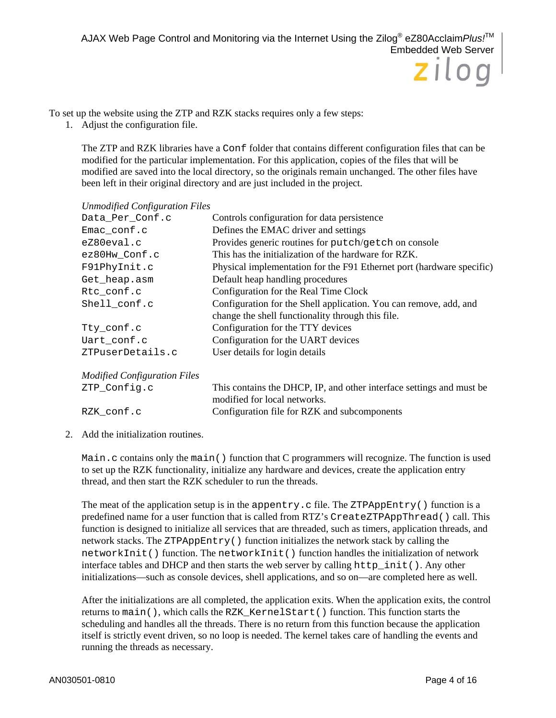To set up the website using the ZTP and RZK stacks requires only a few steps:

1. Adjust the configuration file.

The ZTP and RZK libraries have a Conf folder that contains different configuration files that can be modified for the particular implementation. For this application, copies of the files that will be modified are saved into the local directory, so the originals remain unchanged. The other files have been left in their original directory and are just included in the project.

| <b>Unmodified Configuration Files</b> |                                                                                                                        |  |  |  |
|---------------------------------------|------------------------------------------------------------------------------------------------------------------------|--|--|--|
| Data_Per_Conf.c                       | Controls configuration for data persistence                                                                            |  |  |  |
| Emac_conf.c                           | Defines the EMAC driver and settings                                                                                   |  |  |  |
| eZ80eval.c                            | Provides generic routines for putch/getch on console                                                                   |  |  |  |
| ez80Hw_Conf.c                         | This has the initialization of the hardware for RZK.                                                                   |  |  |  |
| F91PhyInit.c                          | Physical implementation for the F91 Ethernet port (hardware specific)                                                  |  |  |  |
| Get_heap.asm                          | Default heap handling procedures                                                                                       |  |  |  |
| Rtc_conf.c                            | Configuration for the Real Time Clock                                                                                  |  |  |  |
| Shell_conf.c                          | Configuration for the Shell application. You can remove, add, and<br>change the shell functionality through this file. |  |  |  |
| Tty_conf.c                            | Configuration for the TTY devices                                                                                      |  |  |  |
| Uart_conf.c                           | Configuration for the UART devices                                                                                     |  |  |  |
| ZTPuserDetails.c                      | User details for login details                                                                                         |  |  |  |
| <b>Modified Configuration Files</b>   |                                                                                                                        |  |  |  |
| ZTP_Config.c                          | This contains the DHCP, IP, and other interface settings and must be<br>modified for local networks.                   |  |  |  |
| RZK conf.c                            | Configuration file for RZK and subcomponents                                                                           |  |  |  |

2. Add the initialization routines.

Main.c contains only the main() function that C programmers will recognize. The function is used to set up the RZK functionality, initialize any hardware and devices, create the application entry thread, and then start the RZK scheduler to run the threads.

The meat of the application setup is in the appentry.c file. The ZTPAppEntry() function is a predefined name for a user function that is called from RTZ's CreateZTPAppThread() call. This function is designed to initialize all services that are threaded, such as timers, application threads, and network stacks. The ZTPAppEntry() function initializes the network stack by calling the networkInit() function. The networkInit() function handles the initialization of network interface tables and DHCP and then starts the web server by calling  $http://http://www.callinga">http://www.callinga$ initializations—such as console devices, shell applications, and so on—are completed here as well.

After the initializations are all completed, the application exits. When the application exits, the control returns to main(), which calls the RZK\_KernelStart() function. This function starts the scheduling and handles all the threads. There is no return from this function because the application itself is strictly event driven, so no loop is needed. The kernel takes care of handling the events and running the threads as necessary.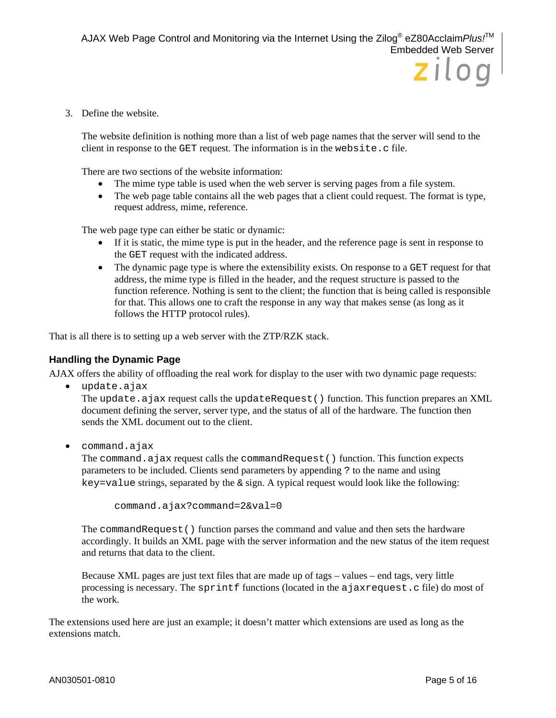3. Define the website.

The website definition is nothing more than a list of web page names that the server will send to the client in response to the GET request. The information is in the website.c file.

There are two sections of the website information:

- The mime type table is used when the web server is serving pages from a file system.
- The web page table contains all the web pages that a client could request. The format is type, request address, mime, reference.

The web page type can either be static or dynamic:

- If it is static, the mime type is put in the header, and the reference page is sent in response to the GET request with the indicated address.
- The dynamic page type is where the extensibility exists. On response to a GET request for that address, the mime type is filled in the header, and the request structure is passed to the function reference. Nothing is sent to the client; the function that is being called is responsible for that. This allows one to craft the response in any way that makes sense (as long as it follows the HTTP protocol rules).

That is all there is to setting up a web server with the ZTP/RZK stack.

#### **Handling the Dynamic Page**

AJAX offers the ability of offloading the real work for display to the user with two dynamic page requests:

update.ajax

The update.ajax request calls the updateRequest() function. This function prepares an XML document defining the server, server type, and the status of all of the hardware. The function then sends the XML document out to the client.

command.ajax

The command.ajax request calls the commandRequest() function. This function expects parameters to be included. Clients send parameters by appending ? to the name and using key=value strings, separated by the  $\&$  sign. A typical request would look like the following:

```
command.ajax?command=2&val=0
```
The commandRequest() function parses the command and value and then sets the hardware accordingly. It builds an XML page with the server information and the new status of the item request and returns that data to the client.

Because XML pages are just text files that are made up of tags – values – end tags, very little processing is necessary. The sprintf functions (located in the ajaxrequest.c file) do most of the work.

The extensions used here are just an example; it doesn't matter which extensions are used as long as the extensions match.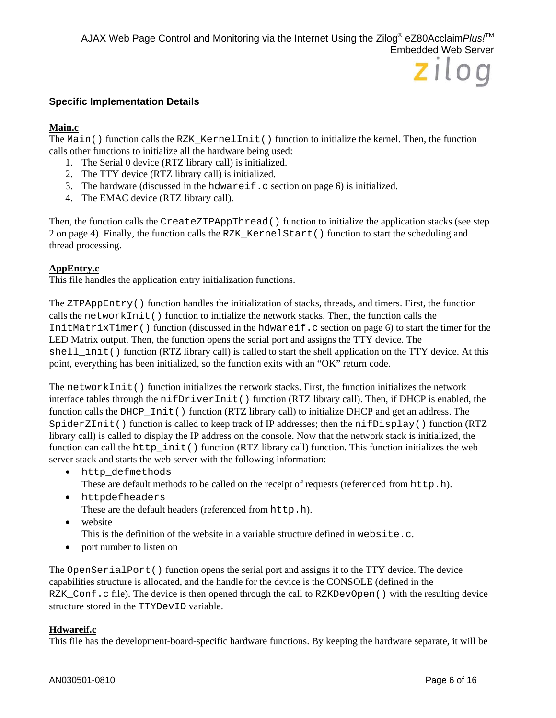#### **Specific Implementation Details**

#### **Main.c**

The Main() function calls the RZK\_KernelInit() function to initialize the kernel. Then, the function calls other functions to initialize all the hardware being used:

- 1. The Serial 0 device (RTZ library call) is initialized.
- 2. The TTY device (RTZ library call) is initialized.
- 3. The hardware (discussed in the hdwareif.c section on page 6) is initialized.
- 4. The EMAC device (RTZ library call).

Then, the function calls the CreateZTPAppThread() function to initialize the application stacks (see step 2 on page 4). Finally, the function calls the RZK\_KernelStart() function to start the scheduling and thread processing.

#### **AppEntry.c**

This file handles the application entry initialization functions.

The ZTPAppEntry() function handles the initialization of stacks, threads, and timers. First, the function calls the networkInit() function to initialize the network stacks. Then, the function calls the InitMatrixTimer() function (discussed in the hdwareif.c section on page 6) to start the timer for the LED Matrix output. Then, the function opens the serial port and assigns the TTY device. The shell\_init() function (RTZ library call) is called to start the shell application on the TTY device. At this point, everything has been initialized, so the function exits with an "OK" return code.

The networkInit() function initializes the network stacks. First, the function initializes the network interface tables through the nifDriverInit() function (RTZ library call). Then, if DHCP is enabled, the function calls the DHCP Init() function (RTZ library call) to initialize DHCP and get an address. The SpiderZInit() function is called to keep track of IP addresses; then the nifDisplay() function (RTZ library call) is called to display the IP address on the console. Now that the network stack is initialized, the function can call the http\_init() function (RTZ library call) function. This function initializes the web server stack and starts the web server with the following information:

- http defmethods
	- These are default methods to be called on the receipt of requests (referenced from http.h).
- httpdefheaders
	- These are the default headers (referenced from http.h).
- website
	- This is the definition of the website in a variable structure defined in website.c.
- port number to listen on

The OpenSerialPort() function opens the serial port and assigns it to the TTY device. The device capabilities structure is allocated, and the handle for the device is the CONSOLE (defined in the RZK\_Conf.c file). The device is then opened through the call to RZKDevOpen() with the resulting device structure stored in the TTYDevID variable.

#### **Hdwareif.c**

This file has the development-board-specific hardware functions. By keeping the hardware separate, it will be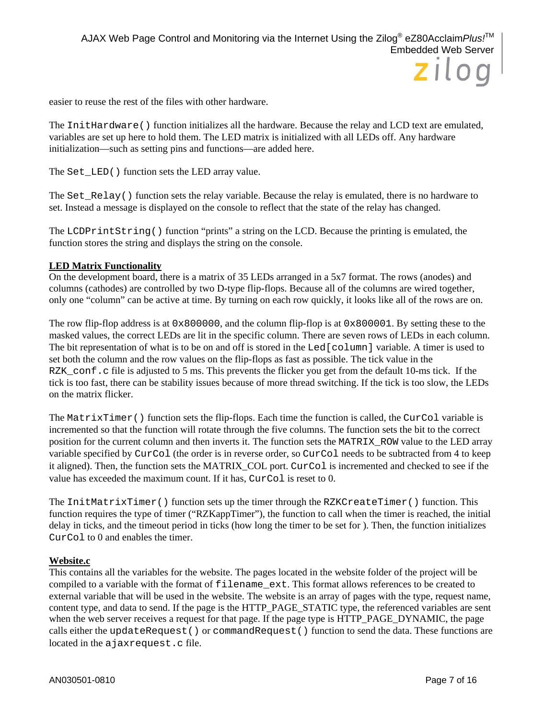easier to reuse the rest of the files with other hardware.

The InitHardware() function initializes all the hardware. Because the relay and LCD text are emulated, variables are set up here to hold them. The LED matrix is initialized with all LEDs off. Any hardware initialization—such as setting pins and functions—are added here.

The Set\_LED() function sets the LED array value.

The Set\_Relay() function sets the relay variable. Because the relay is emulated, there is no hardware to set. Instead a message is displayed on the console to reflect that the state of the relay has changed.

The LCDPrintString() function "prints" a string on the LCD. Because the printing is emulated, the function stores the string and displays the string on the console.

#### **LED Matrix Functionality**

On the development board, there is a matrix of 35 LEDs arranged in a 5x7 format. The rows (anodes) and columns (cathodes) are controlled by two D-type flip-flops. Because all of the columns are wired together, only one "column" can be active at time. By turning on each row quickly, it looks like all of the rows are on.

The row flip-flop address is at 0x800000, and the column flip-flop is at 0x800001. By setting these to the masked values, the correct LEDs are lit in the specific column. There are seven rows of LEDs in each column. The bit representation of what is to be on and off is stored in the Led [column] variable. A timer is used to set both the column and the row values on the flip-flops as fast as possible. The tick value in the RZK conf.c file is adjusted to 5 ms. This prevents the flicker you get from the default 10-ms tick. If the tick is too fast, there can be stability issues because of more thread switching. If the tick is too slow, the LEDs on the matrix flicker.

The MatrixTimer() function sets the flip-flops. Each time the function is called, the CurCol variable is incremented so that the function will rotate through the five columns. The function sets the bit to the correct position for the current column and then inverts it. The function sets the MATRIX\_ROW value to the LED array variable specified by CurCol (the order is in reverse order, so CurCol needs to be subtracted from 4 to keep it aligned). Then, the function sets the MATRIX COL port. CurCol is incremented and checked to see if the value has exceeded the maximum count. If it has, CurCol is reset to 0.

The InitMatrixTimer() function sets up the timer through the RZKCreateTimer() function. This function requires the type of timer ("RZKappTimer"), the function to call when the timer is reached, the initial delay in ticks, and the timeout period in ticks (how long the timer to be set for ). Then, the function initializes CurCol to 0 and enables the timer.

#### **Website.c**

This contains all the variables for the website. The pages located in the website folder of the project will be compiled to a variable with the format of filename\_ext. This format allows references to be created to external variable that will be used in the website. The website is an array of pages with the type, request name, content type, and data to send. If the page is the HTTP\_PAGE\_STATIC type, the referenced variables are sent when the web server receives a request for that page. If the page type is HTTP\_PAGE\_DYNAMIC, the page calls either the updateRequest() or commandRequest() function to send the data. These functions are located in the ajaxrequest.c file.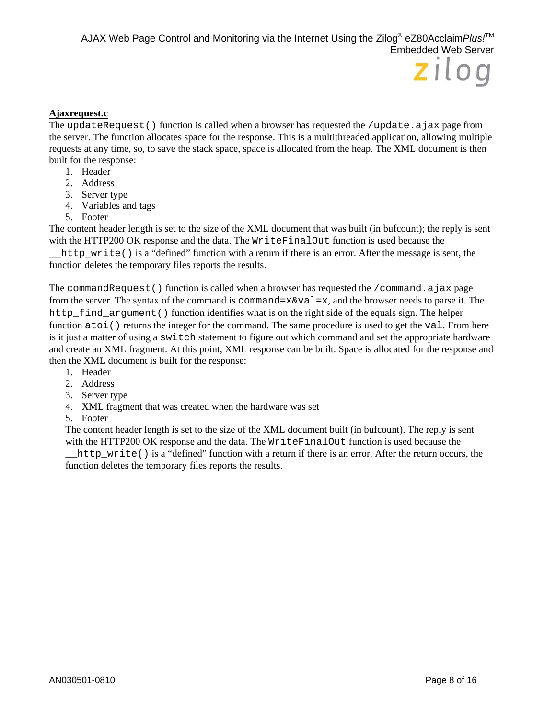#### **Ajaxrequest.c**

The updateRequest() function is called when a browser has requested the /update.ajax page from the server. The function allocates space for the response. This is a multithreaded application, allowing multiple requests at any time, so, to save the stack space, space is allocated from the heap. The XML document is then built for the response:

- 1. Header
- 2. Address
- 3. Server type
- 4. Variables and tags
- 5. Footer

The content header length is set to the size of the XML document that was built (in bufcount); the reply is sent with the HTTP200 OK response and the data. The WriteFinalOut function is used because the http write() is a "defined" function with a return if there is an error. After the message is sent, the

function deletes the temporary files reports the results.

The commandRequest() function is called when a browser has requested the /command.ajax page from the server. The syntax of the command is command= $x\&\text{val}=x$ , and the browser needs to parse it. The http find argument () function identifies what is on the right side of the equals sign. The helper function atoi() returns the integer for the command. The same procedure is used to get the val. From here is it just a matter of using a switch statement to figure out which command and set the appropriate hardware and create an XML fragment. At this point, XML response can be built. Space is allocated for the response and then the XML document is built for the response:

- 1. Header
- 2. Address
- 3. Server type
- 4. XML fragment that was created when the hardware was set
- 5. Footer

The content header length is set to the size of the XML document built (in bufcount). The reply is sent with the HTTP200 OK response and the data. The WriteFinalOut function is used because the

\_\_http\_write() is a "defined" function with a return if there is an error. After the return occurs, the function deletes the temporary files reports the results.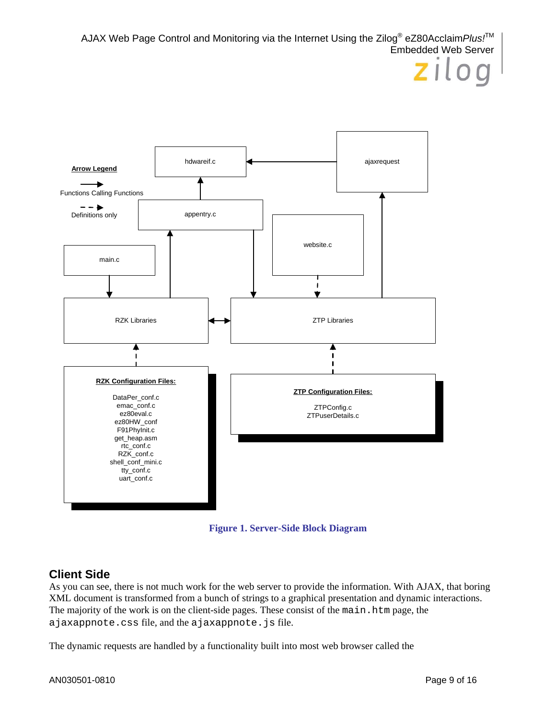

**Figure 1. Server-Side Block Diagram** 

## **Client Side**

As you can see, there is not much work for the web server to provide the information. With AJAX, that boring XML document is transformed from a bunch of strings to a graphical presentation and dynamic interactions. The majority of the work is on the client-side pages. These consist of the main.htm page, the ajaxappnote.css file, and the ajaxappnote.js file.

The dynamic requests are handled by a functionality built into most web browser called the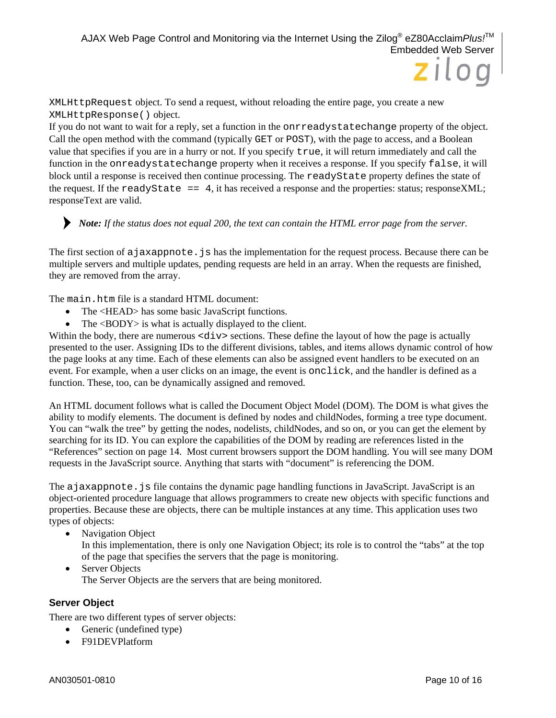XMLHttpRequest object. To send a request, without reloading the entire page, you create a new XMLHttpResponse() object.

If you do not want to wait for a reply, set a function in the onrreadystatechange property of the object. Call the open method with the command (typically GET or POST), with the page to access, and a Boolean value that specifies if you are in a hurry or not. If you specify true, it will return immediately and call the function in the onreadystatechange property when it receives a response. If you specify false, it will block until a response is received then continue processing. The readyState property defines the state of the request. If the readyState  $=$  4, it has received a response and the properties: status; responseXML; responseText are valid.

*Note: If the status does not equal 200, the text can contain the HTML error page from the server.* 

The first section of a jaxappnote. js has the implementation for the request process. Because there can be multiple servers and multiple updates, pending requests are held in an array. When the requests are finished, they are removed from the array.

The main.htm file is a standard HTML document:

- The <HEAD> has some basic JavaScript functions.
- The <BODY> is what is actually displayed to the client.

Within the body, there are numerous <div> sections. These define the layout of how the page is actually presented to the user. Assigning IDs to the different divisions, tables, and items allows dynamic control of how the page looks at any time. Each of these elements can also be assigned event handlers to be executed on an event. For example, when a user clicks on an image, the event is onclick, and the handler is defined as a function. These, too, can be dynamically assigned and removed.

An HTML document follows what is called the Document Object Model (DOM). The DOM is what gives the ability to modify elements. The document is defined by nodes and childNodes, forming a tree type document. You can "walk the tree" by getting the nodes, nodelists, childNodes, and so on, or you can get the element by searching for its ID. You can explore the capabilities of the DOM by reading are references listed in the "References" section on page 14. Most current browsers support the DOM handling. You will see many DOM requests in the JavaScript source. Anything that starts with "document" is referencing the DOM.

The a jaxappnote. js file contains the dynamic page handling functions in JavaScript. JavaScript is an object-oriented procedure language that allows programmers to create new objects with specific functions and properties. Because these are objects, there can be multiple instances at any time. This application uses two types of objects:

- Navigation Object In this implementation, there is only one Navigation Object; its role is to control the "tabs" at the top of the page that specifies the servers that the page is monitoring.
- Server Objects The Server Objects are the servers that are being monitored.

#### **Server Object**

There are two different types of server objects:

- Generic (undefined type)
- F91DEVPlatform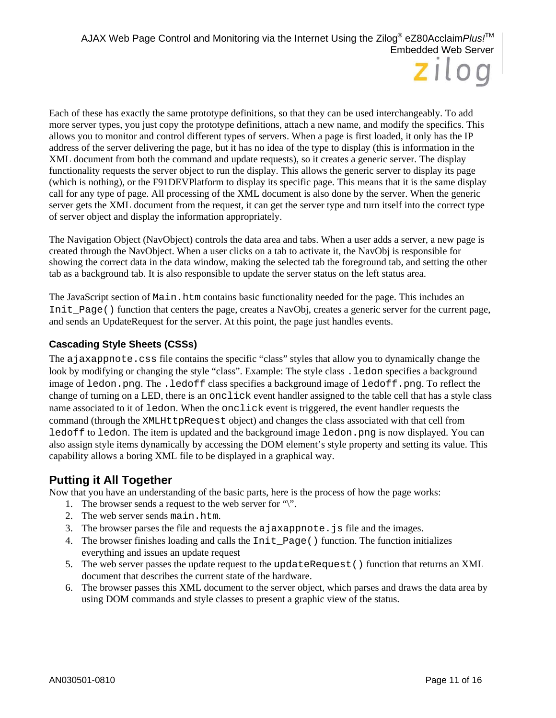Each of these has exactly the same prototype definitions, so that they can be used interchangeably. To add more server types, you just copy the prototype definitions, attach a new name, and modify the specifics. This allows you to monitor and control different types of servers. When a page is first loaded, it only has the IP address of the server delivering the page, but it has no idea of the type to display (this is information in the XML document from both the command and update requests), so it creates a generic server. The display functionality requests the server object to run the display. This allows the generic server to display its page (which is nothing), or the F91DEVPlatform to display its specific page. This means that it is the same display call for any type of page. All processing of the XML document is also done by the server. When the generic server gets the XML document from the request, it can get the server type and turn itself into the correct type of server object and display the information appropriately.

The Navigation Object (NavObject) controls the data area and tabs. When a user adds a server, a new page is created through the NavObject. When a user clicks on a tab to activate it, the NavObj is responsible for showing the correct data in the data window, making the selected tab the foreground tab, and setting the other tab as a background tab. It is also responsible to update the server status on the left status area.

The JavaScript section of Main.htm contains basic functionality needed for the page. This includes an Init\_Page() function that centers the page, creates a NavObj, creates a generic server for the current page, and sends an UpdateRequest for the server. At this point, the page just handles events.

#### **Cascading Style Sheets (CSSs)**

The ajaxappnote.css file contains the specific "class" styles that allow you to dynamically change the look by modifying or changing the style "class". Example: The style class . ledon specifies a background image of ledon.png. The .ledoff class specifies a background image of ledoff.png. To reflect the change of turning on a LED, there is an onclick event handler assigned to the table cell that has a style class name associated to it of ledon. When the onclick event is triggered, the event handler requests the command (through the XMLHttpRequest object) and changes the class associated with that cell from ledoff to ledon. The item is updated and the background image ledon.png is now displayed. You can also assign style items dynamically by accessing the DOM element's style property and setting its value. This capability allows a boring XML file to be displayed in a graphical way.

## **Putting it All Together**

Now that you have an understanding of the basic parts, here is the process of how the page works:

- 1. The browser sends a request to the web server for "\".
- 2. The web server sends main.htm.
- 3. The browser parses the file and requests the ajaxappnote.js file and the images.
- 4. The browser finishes loading and calls the Init\_Page() function. The function initializes everything and issues an update request
- 5. The web server passes the update request to the updateRequest() function that returns an XML document that describes the current state of the hardware.
- 6. The browser passes this XML document to the server object, which parses and draws the data area by using DOM commands and style classes to present a graphic view of the status.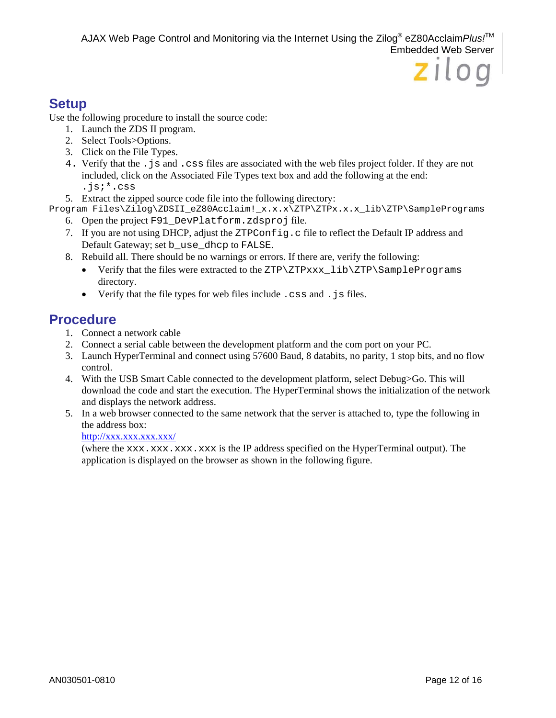# zilog

## **Setup**

Use the following procedure to install the source code:

- 1. Launch the ZDS II program.
- 2. Select Tools>Options.
- 3. Click on the File Types.
- 4. Verify that the .js and .css files are associated with the web files project folder. If they are not included, click on the Associated File Types text box and add the following at the end: .js;\*.css
- 5. Extract the zipped source code file into the following directory:
- Program Files\Zilog\ZDSII\_eZ80Acclaim!\_x.x.x\ZTP\ZTPx.x.x\_lib\ZTP\SamplePrograms 6. Open the project F91\_DevPlatform.zdsproj file.
	- 7. If you are not using DHCP, adjust the ZTPConfig.c file to reflect the Default IP address and Default Gateway; set b\_use\_dhcp to FALSE.
	- 8. Rebuild all. There should be no warnings or errors. If there are, verify the following:
		- Verify that the files were extracted to the ZTP\ZTPxxx\_lib\ZTP\SamplePrograms directory.
		- Verify that the file types for web files include . css and . js files.

# **Procedure**

- 1. Connect a network cable
- 2. Connect a serial cable between the development platform and the com port on your PC.
- 3. Launch HyperTerminal and connect using 57600 Baud, 8 databits, no parity, 1 stop bits, and no flow control.
- 4. With the USB Smart Cable connected to the development platform, select Debug>Go. This will download the code and start the execution. The HyperTerminal shows the initialization of the network and displays the network address.
- 5. In a web browser connected to the same network that the server is attached to, type the following in the address box:

#### http://xxx.xxx.xxx.xxx/

(where the xxx.xxx.xxx.xxx is the IP address specified on the HyperTerminal output). The application is displayed on the browser as shown in the following figure.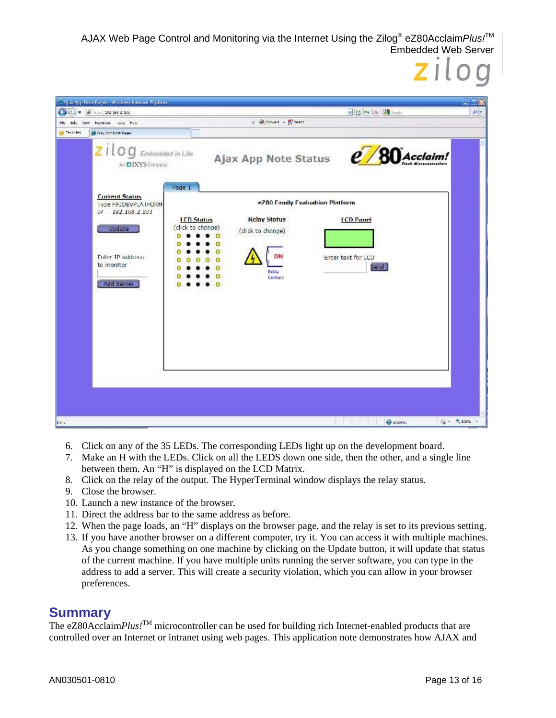| $(3)$ = $8$ key 202 58 2 50;                                                  |                   |                                                | NB + x Mask        |  |
|-------------------------------------------------------------------------------|-------------------|------------------------------------------------|--------------------|--|
| Eds. Were Functions liquid Para                                               |                   | $x \in \mathbb{R}$ count $\sim \mathbb{R}$ can |                    |  |
| <b>Consultation Page</b>                                                      |                   |                                                |                    |  |
| $\overline{z}$ $i$ $l$ $o$ $g$ $E$ mbedded in Life<br>An <b>EIXYS</b> Company |                   | Ajax App Note Status                           | $e$ / 80 Acclaim!  |  |
| <b>Current Status</b><br>Type F91DEVPLATFORM<br>192.168.2.103<br>498          | Page 1            | e780 Family Evaluation Platform                |                    |  |
|                                                                               | <b>IFD Status</b> | <b>Relay Status</b>                            | <b>LCD Panel</b>   |  |
| <b>Update</b>                                                                 | (click to change) | (click to change)                              |                    |  |
|                                                                               |                   |                                                |                    |  |
| Foler IP address                                                              | $\circ$           | ON                                             | Enter text for LCD |  |
| to monitor                                                                    |                   | <b>Refay</b>                                   | Send               |  |
| Add Server                                                                    |                   | Contact                                        |                    |  |
|                                                                               |                   |                                                |                    |  |
|                                                                               |                   |                                                |                    |  |
|                                                                               |                   |                                                |                    |  |
|                                                                               |                   |                                                |                    |  |
|                                                                               |                   |                                                |                    |  |
|                                                                               |                   |                                                |                    |  |
|                                                                               |                   |                                                |                    |  |
|                                                                               |                   |                                                |                    |  |
|                                                                               |                   |                                                |                    |  |

- 6. Click on any of the 35 LEDs. The corresponding LEDs light up on the development board.
- 7. Make an H with the LEDs. Click on all the LEDS down one side, then the other, and a single line between them. An "H" is displayed on the LCD Matrix.
- 8. Click on the relay of the output. The HyperTerminal window displays the relay status.
- 9. Close the browser.
- 10. Launch a new instance of the browser.
- 11. Direct the address bar to the same address as before.
- 12. When the page loads, an "H" displays on the browser page, and the relay is set to its previous setting.
- 13. If you have another browser on a different computer, try it. You can access it with multiple machines. As you change something on one machine by clicking on the Update button, it will update that status of the current machine. If you have multiple units running the server software, you can type in the address to add a server. This will create a security violation, which you can allow in your browser preferences.

## **Summary**

The eZ80Acclaim*Plus!*<sup>TM</sup> microcontroller can be used for building rich Internet-enabled products that are controlled over an Internet or intranet using web pages. This application note demonstrates how AJAX and

zilog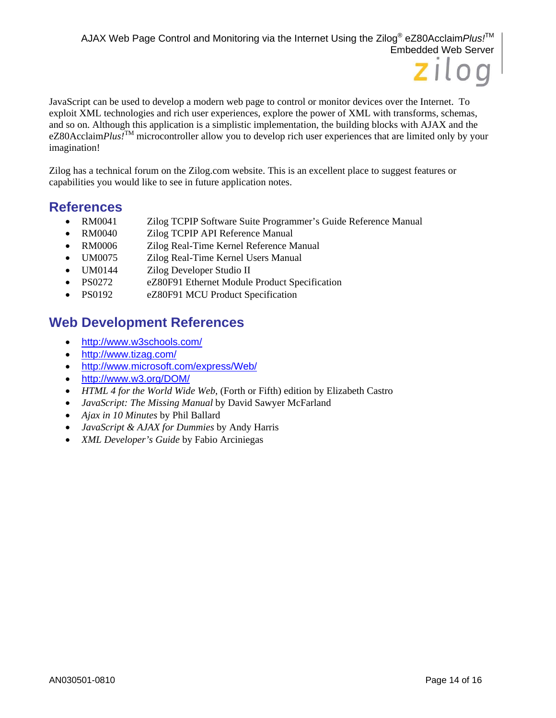

JavaScript can be used to develop a modern web page to control or monitor devices over the Internet. To exploit XML technologies and rich user experiences, explore the power of XML with transforms, schemas, and so on. Although this application is a simplistic implementation, the building blocks with AJAX and the eZ80Acclaim*Plus!*TM microcontroller allow you to develop rich user experiences that are limited only by your imagination!

Zilog has a technical forum on the Zilog.com website. This is an excellent place to suggest features or capabilities you would like to see in future application notes.

## **References**

- RM0041 Zilog TCPIP Software Suite Programmer's Guide Reference Manual
- RM0040 Zilog TCPIP API Reference Manual
- RM0006 Zilog Real-Time Kernel Reference Manual
- UM0075 Zilog Real-Time Kernel Users Manual
- UM0144 Zilog Developer Studio II
- PS0272 eZ80F91 Ethernet Module Product Specification
- PS0192 eZ80F91 MCU Product Specification

# **Web Development References**

- http://www.w3schools.com/
- http://www.tizag.com/
- http://www.microsoft.com/express/Web/
- http://www.w3.org/DOM/
- *HTML 4 for the World Wide Web*, (Forth or Fifth) edition by Elizabeth Castro
- *JavaScript: The Missing Manual* by David Sawyer McFarland
- *Ajax in 10 Minutes* by Phil Ballard
- *JavaScript & AJAX for Dummies* by Andy Harris
- *XML Developer's Guide* by Fabio Arciniegas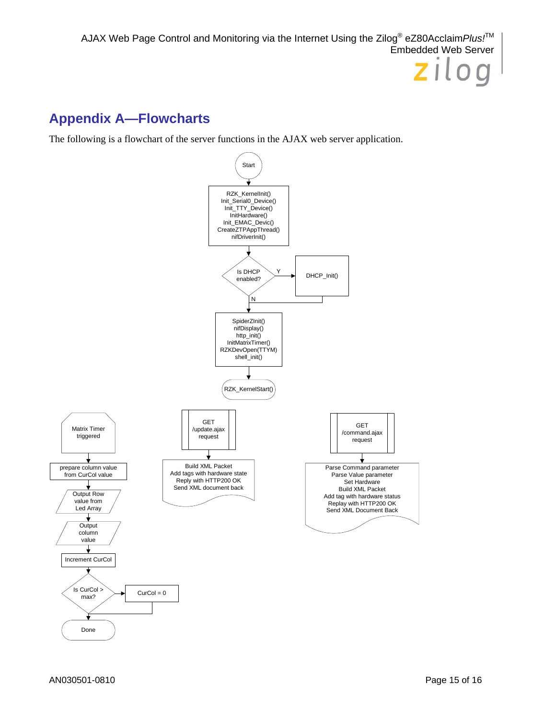# **Appendix A—Flowcharts**

The following is a flowchart of the server functions in the AJAX web server application.